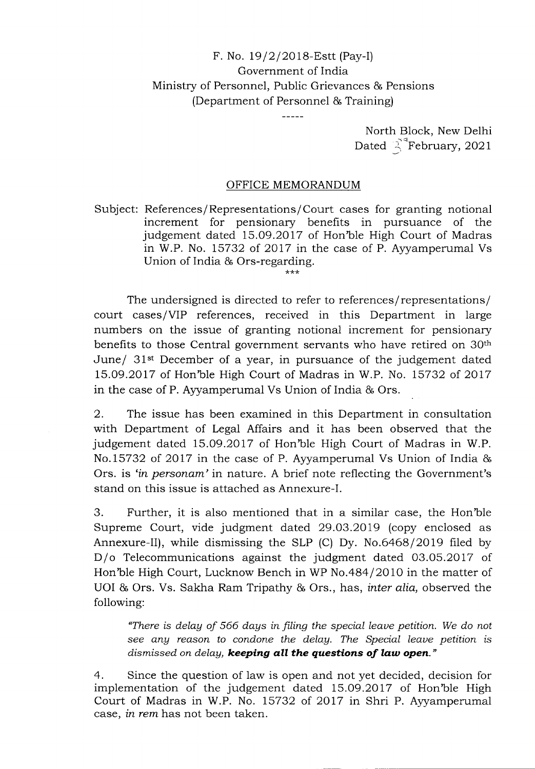## F. No. 19/2/2018-Estt (Pay-I) Government of India Ministry of Personnel, Public Grievances & Pensions (Department of Personnel & Training)

North Block, New Delhi Dated  $\int_{0}^{\infty}$ February, 2021

## OFFICE MEMORANDUM

Subject: References/Representations/Court cases for granting notional increment for pensionary benefits in pursuance of the judgement dated 15.09.2017 of Hon'ble High Court of Madras in W.P. No. 15732 of 2017 in the case of P. Ayyamperumal Vs Union of India & Ors-regarding.

The undersigned is directed to refer to references/representations/ court cases/VIP references, received in this Department in large numbers on the issue of granting notional increment for pensionary benefits to those Central government servants who have retired on 30th June/ 31st December of a year, in pursuance of the judgement dated 15.09.20 17 of Hon'ble High Court of Madras in W.P. No. 15732 of 2017 in the case of P. Ayyamperumal Vs Union of India & Ors.

2. The issue has been examined in this Department in consultation with Department of Legal Affairs and it has been observed that the judgement dated 15.09.2017 of Hon'ble High Court of Madras in W.P. No.15732 of 2017 in the case of P. Ayyamperumal Vs Union of India & Ors. is *'in personam'* in nature. A brief note reflecting the Government's stand on this issue is attached as Annexure-I.

3. Further, it is also mentioned that in a similar case, the Hon'ble Supreme Court, vide judgment dated 29.03.2019 (copy enclosed as Annexure-Il), while dismissing the SLP (C) Dy. No.6468/2019 filed by D/o Telecommunications against the judgment dated 03.05.2017 of Hon'ble High Court, Lucknow Bench in WP No.484/2010 in the matter of UOI & Ors. Vs. Sakha Ram Tripathy & Ors., has, *inter alia,* observed the following:

*"There is delay of 566 days in filing the special leave petition. We do not see any reason to condone the delay. The Special leave petition is dismissed on delay, keeping all the questions of law open."* 

4. Since the question of law is open and not yet decided, decision for implementation of the judgement dated 15.09.2017 of Hon'ble High Court of Madras in W.P. No. 15732 of 2017 in Shri P. Ayyamperumal case, *in rem* has not been taken.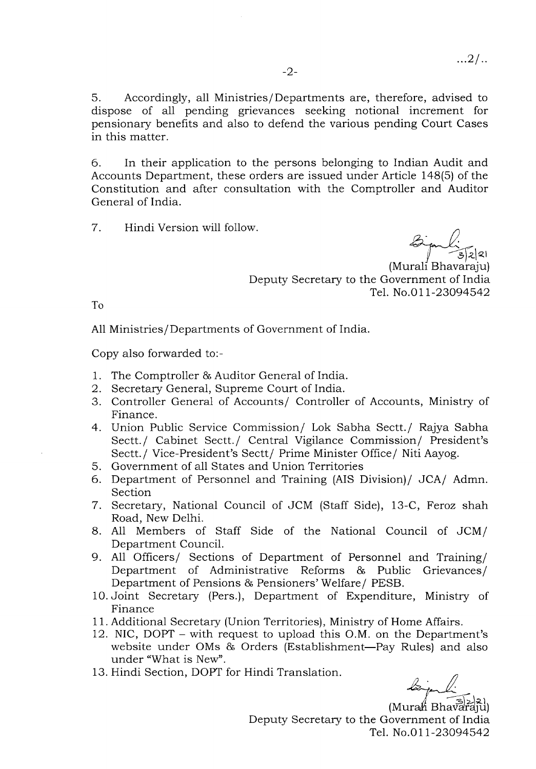5. Accordingly, all Ministries/Departments are, therefore, advised to dispose of all pending grievances seeking notional increment for pensionary benefits and also to defend the various pending Court Cases in this matter.

6. In their application to the persons belonging to Indian Audit and Accounts Department, these orders are issued under Article 148(5) of the Constitution and after consultation with the Comptroller and Auditor General of India.

7. Hindi Version will follow.

ا2|ع<br>,

(Murali Bhavaraju) Deputy Secretary to the Government of India Tel. No.011-23094542

To

All Ministries/Departments of Government of India.

Copy also forwarded to:-

- 1. The Comptroller & Auditor General of India.
- 2. Secretary General, Supreme Court of India.
- 3. Controller General of Accounts/ Controller of Accounts, Ministry of Finance.
- 4. Union Public Service Commission/ Lok Sabha Sectt./ Rajya Sabha Sectt./ Cabinet Sectt./ Central Vigilance Commission/ President's Sectt./ Vice-President's Sectt/ Prime Minister Office/ Niti Aayog.
- 5. Government of all States and Union Territories
- 6. Department of Personnel and Training (AIS Division)/ JCA/ Admn. Section
- 7. Secretary, National Council of JCM (Staff Side), 13-C, Feroz shah Road, New Delhi.
- 8. All Members of Staff Side of the National Council of JCM/ Department Council.
- 9. All Officers/ Sections of Department of Personnel and Training/ Department of Administrative Reforms & Public Grievances/ Department of Pensions & Pensioners' Welfare/ PESB.
- 10. Joint Secretary (Pers.), Department of Expenditure, Ministry of Finance
- 11. Additional Secretary (Union Territories), Ministry of Home Affairs.
- 12. NIC, DOPT with request to upload this O.M. on the Department's website under OMs & Orders (Establishment—Pay Rules) and also under "What is New".
- 13. Hindi Section, DOPT for Hindi Translation.

 $(Mura \nparallel Bhav \vec{a})$ Deputy Secretary to the Government of India Tel. No.011-23094542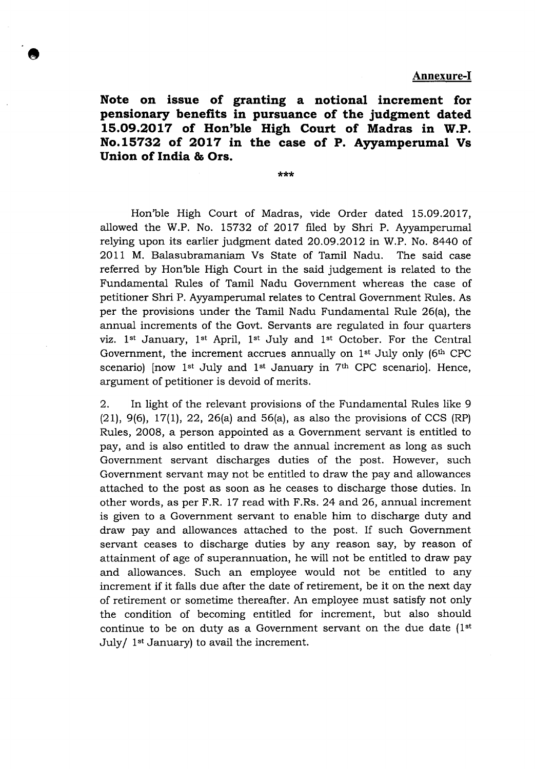**Note on issue of granting a notional increment for pensionary benefits in pursuance of the judgment dated 15.09.20 17 of Hon'ble High Court of Madras in W.P. No.15732 of 2017 in the case of P. Ayyamperumal Vs Union of India** & **Ors.** 

\*\*\*

Hon'ble High Court of Madras, vide Order dated 15.09.2017, allowed the W.P. No. 15732 of 2017 filed by Shri P. Ayyamperumal relying upon its earlier judgment dated 20.09.2012 in W.P. No. 8440 of 2011 M. Balasubramaniam Vs State of Tamil Nadu. The said case referred by Hon'ble High Court in the said judgement is related to the Fundamental Rules of Tamil Nadu Government whereas the case of petitioner Shri P. Ayyamperumal relates to Central Government Rules. As per the provisions under the Tamil Nadu Fundamental Rule 26(a), the annual increments of the Govt. Servants are regulated in four quarters viz. 1<sup>st</sup> January, 1<sup>st</sup> April, 1<sup>st</sup> July and 1<sup>st</sup> October. For the Central Government, the increment accrues annually on  $1<sup>st</sup>$  July only (6<sup>th</sup> CPC) scenario) [now  $1<sup>st</sup>$  July and  $1<sup>st</sup>$  January in  $7<sup>th</sup>$  CPC scenario]. Hence, argument of petitioner is devoid of merits.

2. In light of the relevant provisions of the Fundamental Rules like 9 (21), 9(6), 17(1), 22, 26(a) and 56(a), as also the provisions of CCS (RP) Rules, 2008, a person appointed as a Government servant is entitled to pay, and is also entitled to draw the annual increment as long as such Government servant discharges duties of the post. However, such Government servant may not be entitled to draw the pay and allowances attached to the post as soon as he ceases to discharge those duties. In other words, as per F.R. 17 read with F.Rs. 24 and 26, annual increment is given to a Government servant to enable him to discharge duty and draw pay and allowances attached to the post. If such Government servant ceases to discharge duties by any reason say, by reason of attainment of age of superannuation, he will not be entitled to draw pay and allowances. Such an employee would not be entitled to any increment if it falls due after the date of retirement, be it on the next day of retirement or sometime thereafter. An employee must satisfy not only the condition of becoming entitled for increment, but also should continue to be on duty as a Government servant on the due date  $(1<sup>st</sup>$ July/  $1<sup>st</sup>$  January) to avail the increment.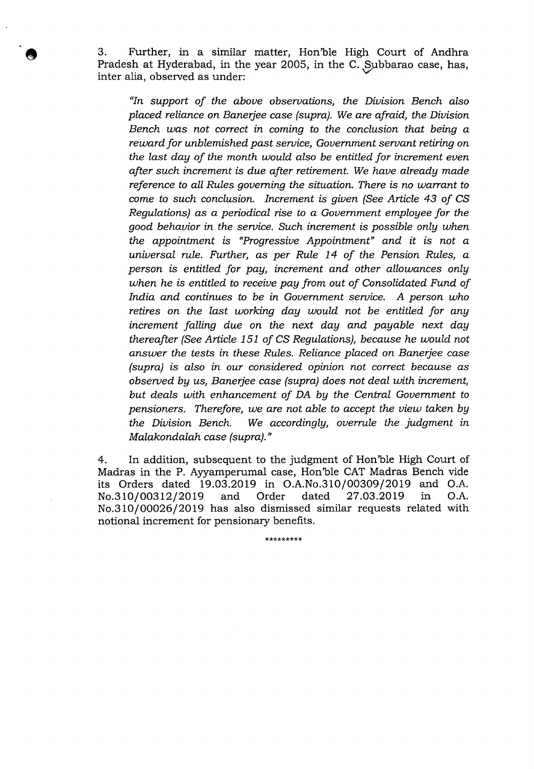3. Further, in a similar matter, Hon'ble High Court of Andhra Pradesh at Hyderabad, in the year 2005, in the C. Subbarao case, has, inter alia, observed as under:

*"In support of the above observations, the Division Bench also placed reliance on Banerjee case (supra). We are afraid, the Division Bench was not correct in coming to the conclusion that being a reward for unblemished past service, Government servant retiring on the last day of the month would also be entitled for increment even after such increment is due after retirement. We have already made reference to all Rules governing the situation. There is no warrant to come to such conclusion. Increment is given (See Article 43 of CS Regulations) as a periodical rise to a Government employee for the good behavior in the service. Such increment is possible only when the appointment is 'Progressive Appointment" and it is not a universal rule. Further, as per Rule 14 of the Pension Rules, a person is entitled for pay, increment and other allowances only when he is entitled to receive pay from out of Consolidated Fund of India and continues to be in Government service. A person who retires on the last working day would not be entitled for any increment falling due on the next day and payable next day thereafter (See Article 151 of CS Regulations), because he would not answer the tests in these Rules. Reliance placed on Banerjee case (supra) is also in our considered opinion not correct because as observed by us, Banerjee case (supra) does not deal with increment, but deals with enhancement of DA by the Central Government to pensioners. Therefore, we are not able to accept the view taken by the Division Bench. We accordingly, overrule the judgment in Malakondalah case (supra)."* 

4. In addition, subsequent to the judgment of Hon'ble High Court of Madras in the P. Ayyamperumal case, Hon'ble CAT Madras Bench vide its Orders dated 19.03.2019 in O.A.No.310/00309/2019 and O.A. No.310/00312/2019 and Order dated 27.03.2019 in O.A. No.310/00026/2019 has also dismissed similar requests related with notional increment for pensionary benefits.

\* \*\* \* \* \* \* \* \*